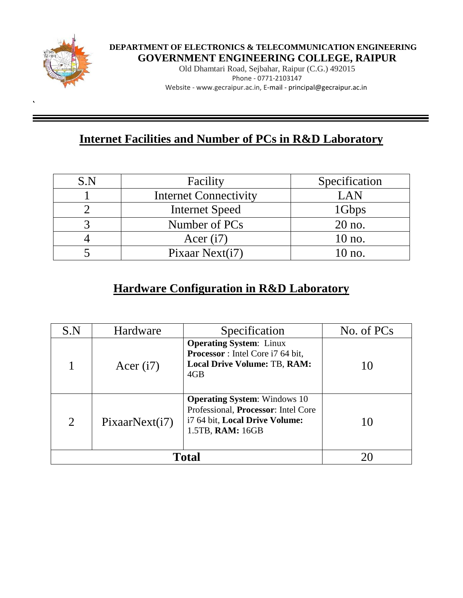

<<,**`**

## **DEPARTMENT OF ELECTRONICS & TELECOMMUNICATION ENGINEERING GOVERNMENT ENGINEERING COLLEGE, RAIPUR**

Old Dhamtari Road, Sejbahar, Raipur (C.G.) 492015 Phone - 0771-2103147 Website - www.gecraipur.ac.in, E-mail - principal@gecraipur.ac.in

# **Internet Facilities and Number of PCs in R&D Laboratory**

| S.N | Facility                     | Specification |
|-----|------------------------------|---------------|
|     | <b>Internet Connectivity</b> | LAN           |
|     | <b>Internet Speed</b>        | 1Gbps         |
|     | Number of PCs                | 20 no.        |
|     | Acer $(i7)$                  | $10$ no.      |
|     | Pixaar Next(i7)              | 10 no.        |

## **Hardware Configuration in R&D Laboratory**

| S.N            | Hardware       | Specification                                                                                                                    | No. of PCs |
|----------------|----------------|----------------------------------------------------------------------------------------------------------------------------------|------------|
|                | Acer $(i7)$    | <b>Operating System:</b> Linux<br><b>Processor</b> : Intel Core i7 64 bit,<br><b>Local Drive Volume: TB, RAM:</b><br>4GB         |            |
| $\overline{2}$ | PixaarNext(i7) | <b>Operating System:</b> Windows 10<br>Professional, Processor: Intel Core<br>i7 64 bit, Local Drive Volume:<br>1.5TB, RAM: 16GB |            |
|                |                |                                                                                                                                  |            |